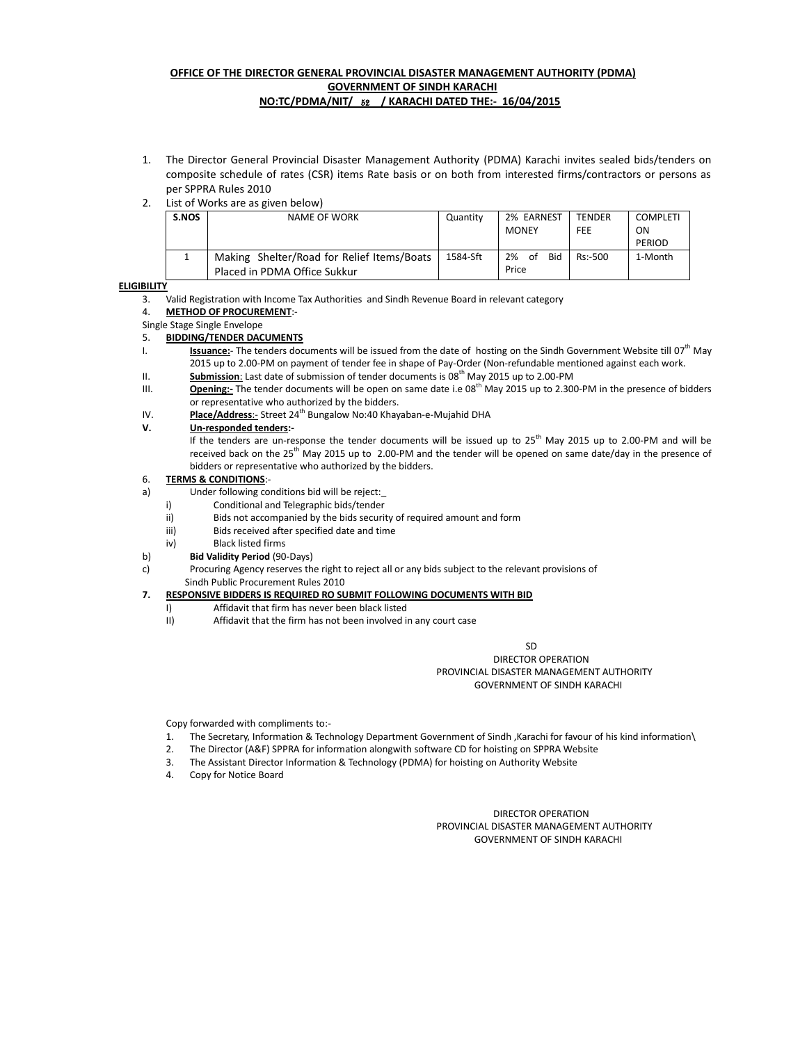### **OFFICE OF THE DIRECTOR GENERAL PROVINCIAL DISASTER MANAGEMENT AUTHORITY (PDMA) GOVERNMENT OF SINDH KARACHI**

- **NO:TC/PDMA/NIT/** 52 **/ KARACHI DATED THE:- 16/04/2015**
- 1. The Director General Provincial Disaster Management Authority (PDMA) Karachi invites sealed bids/tenders on composite schedule of rates (CSR) items Rate basis or on both from interested firms/contractors or persons as per SPPRA Rules 2010
- 2. List of Works are as given below)

| S.NOS | NAME OF WORK                               | Quantity | 2% EARNEST             | <b>TENDER</b> | <b>COMPLETI</b> |
|-------|--------------------------------------------|----------|------------------------|---------------|-----------------|
|       |                                            |          | <b>MONEY</b>           | FEE           | ON              |
|       |                                            |          |                        |               | PERIOD          |
|       | Making Shelter/Road for Relief Items/Boats | 1584-Sft | <b>Bid</b><br>2%<br>of | $Rs: -500$    | 1-Month         |
|       | Placed in PDMA Office Sukkur               |          | Price                  |               |                 |

#### **ELIGIBILITY**

3. Valid Registration with Income Tax Authorities and Sindh Revenue Board in relevant category

#### 4. **METHOD OF PROCUREMENT**:-

Single Stage Single Envelope

#### 5. **BIDDING/TENDER DACUMENTS**

- I. **Issuance:** The tenders documents will be issued from the date of hosting on the Sindh Government Website till 07<sup>th</sup> May 2015 up to 2.00-PM on payment of tender fee in shape of Pay-Order (Non-refundable mentioned against each work.
- II. **Submission**: Last date of submission of tender documents is 08<sup>th</sup> May 2015 up to 2.00-PM
- III. **Opening:-** The tender documents will be open on same date i.e 08<sup>th</sup> May 2015 up to 2.300-PM in the presence of bidders or representative who authorized by the bidders.
- IV. **Place/Address**:- Street 24<sup>th</sup> Bungalow No:40 Khayaban-e-Mujahid DHA

#### **V. Un-responded tenders:-**

If the tenders are un-response the tender documents will be issued up to  $25<sup>th</sup>$  May 2015 up to 2.00-PM and will be received back on the 25<sup>th</sup> May 2015 up to 2.00-PM and the tender will be opened on same date/day in the presence of bidders or representative who authorized by the bidders.

#### 6. **TERMS & CONDITIONS**:-

- a) Under following conditions bid will be reject:\_
	- i) Conditional and Telegraphic bids/tender
	- ii) Bids not accompanied by the bids security of required amount and form
	- iii) Bids received after specified date and time
	- iv) Black listed firms
- b) **Bid Validity Period** (90-Days)
- c) Procuring Agency reserves the right to reject all or any bids subject to the relevant provisions of Sindh Public Procurement Rules 2010

#### **7. RESPONSIVE BIDDERS IS REQUIRED RO SUBMIT FOLLOWING DOCUMENTS WITH BID**

- I) Affidavit that firm has never been black listed
- II) Affidavit that the firm has not been involved in any court case

#### SD DIRECTOR OPERATION PROVINCIAL DISASTER MANAGEMENT AUTHORITY GOVERNMENT OF SINDH KARACHI

Copy forwarded with compliments to:-

- 1. The Secretary, Information & Technology Department Government of Sindh ,Karachi for favour of his kind information\
- 2. The Director (A&F) SPPRA for information alongwith software CD for hoisting on SPPRA Website
- 3. The Assistant Director Information & Technology (PDMA) for hoisting on Authority Website
- 4. Copy for Notice Board

 DIRECTOR OPERATION PROVINCIAL DISASTER MANAGEMENT AUTHORITY GOVERNMENT OF SINDH KARACHI